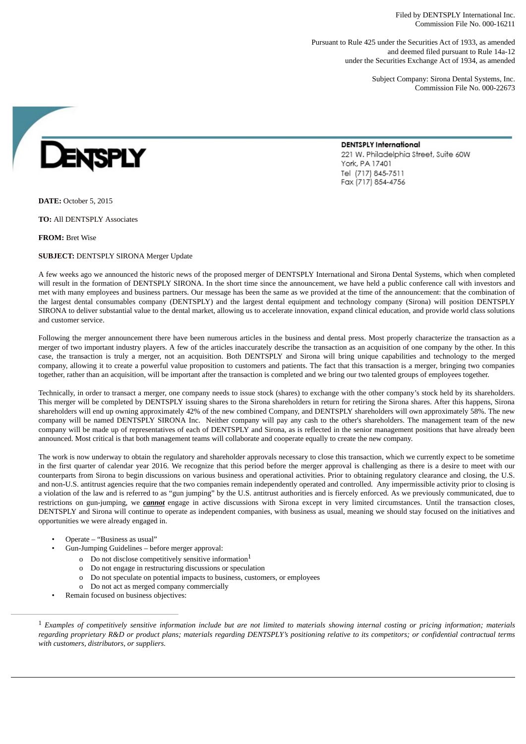Filed by DENTSPLY International Inc. Commission File No. 000-16211

Pursuant to Rule 425 under the Securities Act of 1933, as amended and deemed filed pursuant to Rule 14a-12 under the Securities Exchange Act of 1934, as amended

221 W. Philadelphia Street, Suite 60W

**DENTSPLY International** 

York, PA 17401 Tel (717) 845-7511 Fax (717) 854-4756

Subject Company: Sirona Dental Systems, Inc. Commission File No. 000-22673

**ENSPLY** 

**DATE:** October 5, 2015

**TO:** All DENTSPLY Associates

**FROM:** Bret Wise

**SUBJECT:** DENTSPLY SIRONA Merger Update

A few weeks ago we announced the historic news of the proposed merger of DENTSPLY International and Sirona Dental Systems, which when completed will result in the formation of DENTSPLY SIRONA. In the short time since the announcement, we have held a public conference call with investors and met with many employees and business partners. Our message has been the same as we provided at the time of the announcement: that the combination of the largest dental consumables company (DENTSPLY) and the largest dental equipment and technology company (Sirona) will position DENTSPLY SIRONA to deliver substantial value to the dental market, allowing us to accelerate innovation, expand clinical education, and provide world class solutions and customer service.

Following the merger announcement there have been numerous articles in the business and dental press. Most properly characterize the transaction as a merger of two important industry players. A few of the articles inaccurately describe the transaction as an acquisition of one company by the other. In this case, the transaction is truly a merger, not an acquisition. Both DENTSPLY and Sirona will bring unique capabilities and technology to the merged company, allowing it to create a powerful value proposition to customers and patients. The fact that this transaction is a merger, bringing two companies together, rather than an acquisition, will be important after the transaction is completed and we bring our two talented groups of employees together.

Technically, in order to transact a merger, one company needs to issue stock (shares) to exchange with the other company's stock held by its shareholders. This merger will be completed by DENTSPLY issuing shares to the Sirona shareholders in return for retiring the Sirona shares. After this happens, Sirona shareholders will end up owning approximately 42% of the new combined Company, and DENTSPLY shareholders will own approximately 58%. The new company will be named DENTSPLY SIRONA Inc. Neither company will pay any cash to the other's shareholders. The management team of the new company will be made up of representatives of each of DENTSPLY and Sirona, as is reflected in the senior management positions that have already been announced. Most critical is that both management teams will collaborate and cooperate equally to create the new company.

The work is now underway to obtain the regulatory and shareholder approvals necessary to close this transaction, which we currently expect to be sometime in the first quarter of calendar year 2016. We recognize that this period before the merger approval is challenging as there is a desire to meet with our counterparts from Sirona to begin discussions on various business and operational activities. Prior to obtaining regulatory clearance and closing, the U.S. and non-U.S. antitrust agencies require that the two companies remain independently operated and controlled. Any impermissible activity prior to closing is a violation of the law and is referred to as "gun jumping" by the U.S. antitrust authorities and is fiercely enforced. As we previously communicated, due to restrictions on gun-jumping, we *cannot* engage in active discussions with Sirona except in very limited circumstances. Until the transaction closes, DENTSPLY and Sirona will continue to operate as independent companies, with business as usual, meaning we should stay focused on the initiatives and opportunities we were already engaged in.

- Operate "Business as usual"
- Gun-Jumping Guidelines before merger approval:
	- o Do not disclose competitively sensitive information $^1$
	- o Do not engage in restructuring discussions or speculation
	- o Do not speculate on potential impacts to business, customers, or employees
	- o Do not act as merged company commercially
- Remain focused on business objectives:



 $1$  Examples of competitively sensitive information include but are not limited to materials showing internal costing or pricing information; materials regarding proprietary R&D or product plans; materials regarding DENTSPLY's positioning relative to its competitors; or confidential contractual terms *with customers, distributors, or suppliers.*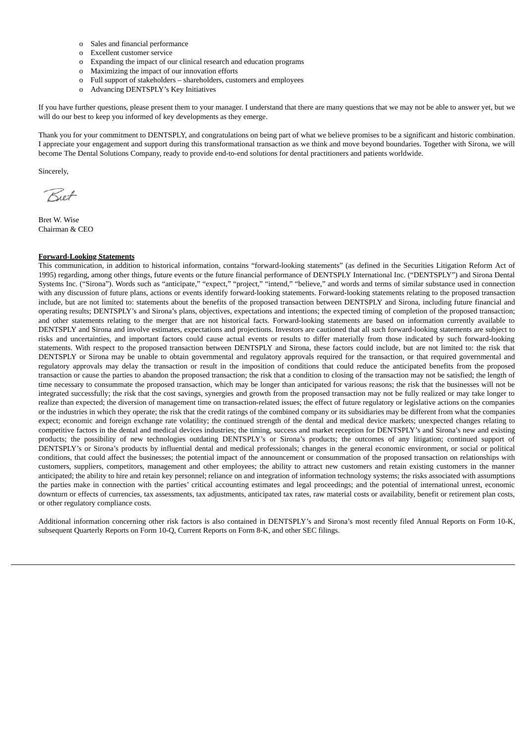- o Sales and financial performance
- o Excellent customer service
- o Expanding the impact of our clinical research and education programs
- o Maximizing the impact of our innovation efforts
- o Full support of stakeholders shareholders, customers and employees
- o Advancing DENTSPLY's Key Initiatives

If you have further questions, please present them to your manager. I understand that there are many questions that we may not be able to answer yet, but we will do our best to keep you informed of key developments as they emerge.

Thank you for your commitment to DENTSPLY, and congratulations on being part of what we believe promises to be a significant and historic combination. I appreciate your engagement and support during this transformational transaction as we think and move beyond boundaries. Together with Sirona, we will become The Dental Solutions Company, ready to provide end-to-end solutions for dental practitioners and patients worldwide.

Sincerely,

Biet

Bret W. Wise Chairman & CEO

## **Forward-Looking Statements**

This communication, in addition to historical information, contains "forward-looking statements" (as defined in the Securities Litigation Reform Act of 1995) regarding, among other things, future events or the future financial performance of DENTSPLY International Inc. ("DENTSPLY") and Sirona Dental Systems Inc. ("Sirona"). Words such as "anticipate," "expect," "project," "intend," "believe," and words and terms of similar substance used in connection with any discussion of future plans, actions or events identify forward-looking statements. Forward-looking statements relating to the proposed transaction include, but are not limited to: statements about the benefits of the proposed transaction between DENTSPLY and Sirona, including future financial and operating results; DENTSPLY's and Sirona's plans, objectives, expectations and intentions; the expected timing of completion of the proposed transaction; and other statements relating to the merger that are not historical facts. Forward-looking statements are based on information currently available to DENTSPLY and Sirona and involve estimates, expectations and projections. Investors are cautioned that all such forward-looking statements are subject to risks and uncertainties, and important factors could cause actual events or results to differ materially from those indicated by such forward-looking statements. With respect to the proposed transaction between DENTSPLY and Sirona, these factors could include, but are not limited to: the risk that DENTSPLY or Sirona may be unable to obtain governmental and regulatory approvals required for the transaction, or that required governmental and regulatory approvals may delay the transaction or result in the imposition of conditions that could reduce the anticipated benefits from the proposed transaction or cause the parties to abandon the proposed transaction; the risk that a condition to closing of the transaction may not be satisfied; the length of time necessary to consummate the proposed transaction, which may be longer than anticipated for various reasons; the risk that the businesses will not be integrated successfully; the risk that the cost savings, synergies and growth from the proposed transaction may not be fully realized or may take longer to realize than expected; the diversion of management time on transaction-related issues; the effect of future regulatory or legislative actions on the companies or the industries in which they operate; the risk that the credit ratings of the combined company or its subsidiaries may be different from what the companies expect; economic and foreign exchange rate volatility; the continued strength of the dental and medical device markets; unexpected changes relating to competitive factors in the dental and medical devices industries; the timing, success and market reception for DENTSPLY's and Sirona's new and existing products; the possibility of new technologies outdating DENTSPLY's or Sirona's products; the outcomes of any litigation; continued support of DENTSPLY's or Sirona's products by influential dental and medical professionals; changes in the general economic environment, or social or political conditions, that could affect the businesses; the potential impact of the announcement or consummation of the proposed transaction on relationships with customers, suppliers, competitors, management and other employees; the ability to attract new customers and retain existing customers in the manner anticipated; the ability to hire and retain key personnel; reliance on and integration of information technology systems; the risks associated with assumptions the parties make in connection with the parties' critical accounting estimates and legal proceedings; and the potential of international unrest, economic downturn or effects of currencies, tax assessments, tax adjustments, anticipated tax rates, raw material costs or availability, benefit or retirement plan costs, or other regulatory compliance costs.

Additional information concerning other risk factors is also contained in DENTSPLY's and Sirona's most recently filed Annual Reports on Form 10-K, subsequent Quarterly Reports on Form 10-Q, Current Reports on Form 8-K, and other SEC filings.